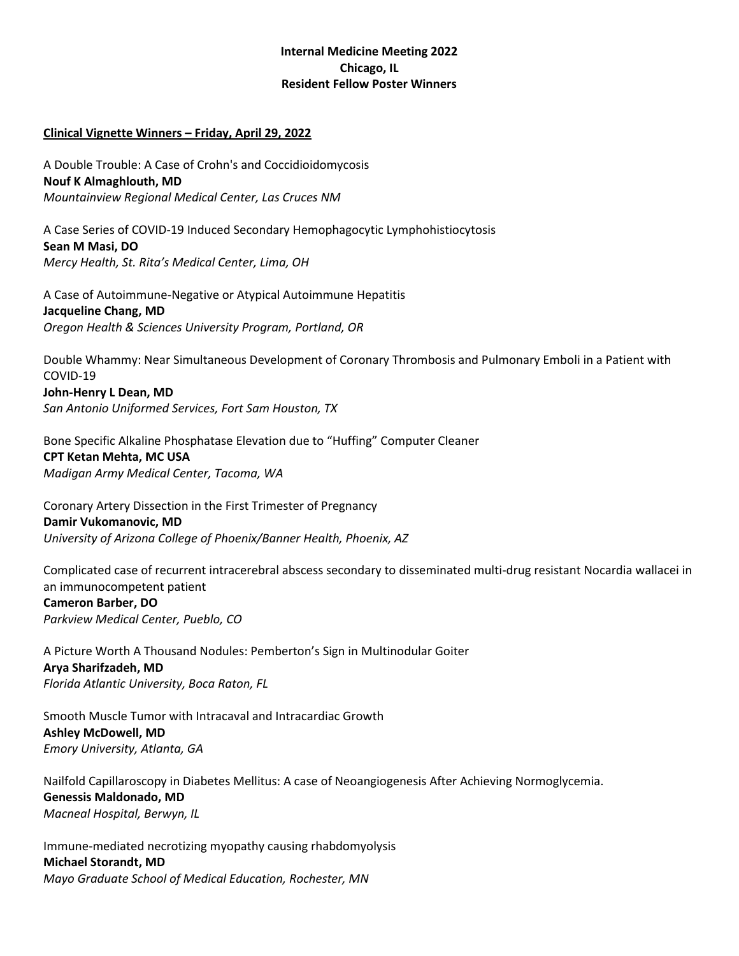## **Internal Medicine Meeting 2022 Chicago, IL Resident Fellow Poster Winners**

## **Clinical Vignette Winners – Friday, April 29, 2022**

A Double Trouble: A Case of Crohn's and Coccidioidomycosis **Nouf K Almaghlouth, MD** *Mountainview Regional Medical Center, Las Cruces NM*

A Case Series of COVID-19 Induced Secondary Hemophagocytic Lymphohistiocytosis **Sean M Masi, DO** *Mercy Health, St. Rita's Medical Center, Lima, OH*

A Case of Autoimmune-Negative or Atypical Autoimmune Hepatitis **Jacqueline Chang, MD** *Oregon Health & Sciences University Program, Portland, OR*

Double Whammy: Near Simultaneous Development of Coronary Thrombosis and Pulmonary Emboli in a Patient with COVID-19 **John-Henry L Dean, MD** *San Antonio Uniformed Services, Fort Sam Houston, TX*

Bone Specific Alkaline Phosphatase Elevation due to "Huffing" Computer Cleaner **CPT Ketan Mehta, MC USA** *Madigan Army Medical Center, Tacoma, WA*

Coronary Artery Dissection in the First Trimester of Pregnancy **Damir Vukomanovic, MD** *University of Arizona College of Phoenix/Banner Health, Phoenix, AZ*

Complicated case of recurrent intracerebral abscess secondary to disseminated multi-drug resistant Nocardia wallacei in an immunocompetent patient **Cameron Barber, DO** *Parkview Medical Center, Pueblo, CO*

A Picture Worth A Thousand Nodules: Pemberton's Sign in Multinodular Goiter **Arya Sharifzadeh, MD** *Florida Atlantic University, Boca Raton, FL*

Smooth Muscle Tumor with Intracaval and Intracardiac Growth **Ashley McDowell, MD** *Emory University, Atlanta, GA*

Nailfold Capillaroscopy in Diabetes Mellitus: A case of Neoangiogenesis After Achieving Normoglycemia. **Genessis Maldonado, MD** *Macneal Hospital, Berwyn, IL*

Immune-mediated necrotizing myopathy causing rhabdomyolysis **Michael Storandt, MD** *Mayo Graduate School of Medical Education, Rochester, MN*